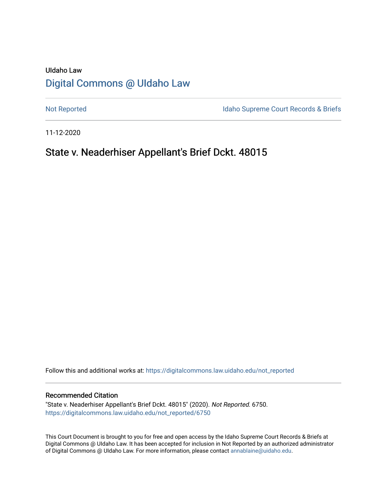# UIdaho Law [Digital Commons @ UIdaho Law](https://digitalcommons.law.uidaho.edu/)

[Not Reported](https://digitalcommons.law.uidaho.edu/not_reported) **Idaho Supreme Court Records & Briefs** 

11-12-2020

# State v. Neaderhiser Appellant's Brief Dckt. 48015

Follow this and additional works at: [https://digitalcommons.law.uidaho.edu/not\\_reported](https://digitalcommons.law.uidaho.edu/not_reported?utm_source=digitalcommons.law.uidaho.edu%2Fnot_reported%2F6750&utm_medium=PDF&utm_campaign=PDFCoverPages) 

#### Recommended Citation

"State v. Neaderhiser Appellant's Brief Dckt. 48015" (2020). Not Reported. 6750. [https://digitalcommons.law.uidaho.edu/not\\_reported/6750](https://digitalcommons.law.uidaho.edu/not_reported/6750?utm_source=digitalcommons.law.uidaho.edu%2Fnot_reported%2F6750&utm_medium=PDF&utm_campaign=PDFCoverPages)

This Court Document is brought to you for free and open access by the Idaho Supreme Court Records & Briefs at Digital Commons @ UIdaho Law. It has been accepted for inclusion in Not Reported by an authorized administrator of Digital Commons @ UIdaho Law. For more information, please contact [annablaine@uidaho.edu](mailto:annablaine@uidaho.edu).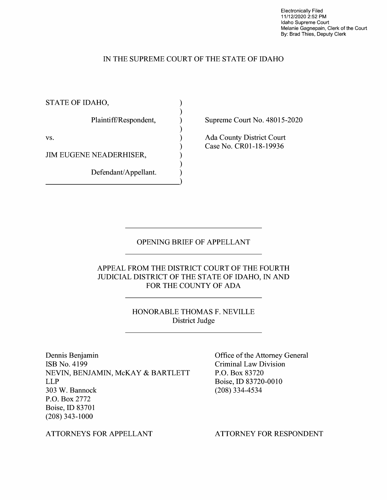Electronically Filed 11/12/2020 2:52 PM Idaho Supreme Court Melanie Gagnepain, Clerk of the Court By: Brad Thies, Deputy Clerk

## IN THE SUPREME COURT OF THE STATE OF IDAHO

) ) ) ) ) ) ) ) )

STATE OF IDAHO,

Plaintiff/Respondent,

vs.

JIM EUGENE NEADERHISER,

Defendant/Appellant. Defendant/Appellant. Supreme Court No. 48015-2020

Ada County District Court Case No. CR0l-18-19936

### OPENING BRIEF OF APPELLANT

APPEAL FROM THE DISTRICT COURT OF THE FOURTH JUDICIAL DISTRICT OF THE STATE OF IDAHO, IN AND FOR THE COUNTY OF ADA

> HONORABLE THOMAS F. NEVILLE District Judge

Dennis Benjamin ISB No. 4199 NEVIN, BENJAMIN, McKAY & BARTLETT LLP 303 W. Bannock P.O. Box 2772 Boise, ID 83701 (208) 343-1000

Office of the Attorney General Criminal Law Division P.O. Box 83720 Boise, ID 83720-0010 (208) 334-4534

ATTORNEYS FOR APPELLANT

ATTORNEY FOR RESPONDENT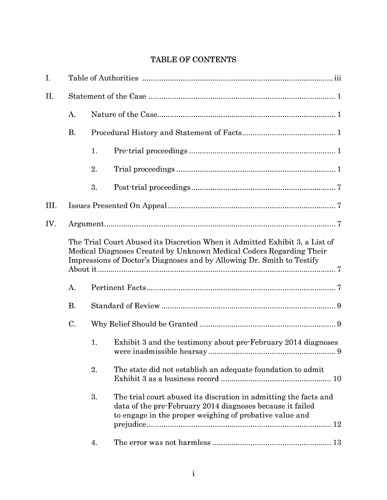## **TABLE OF CONTENTS**

| I.   |                                                                                                                                                                                                                              |    |                                                                                                                                                                                          |  |  |  |
|------|------------------------------------------------------------------------------------------------------------------------------------------------------------------------------------------------------------------------------|----|------------------------------------------------------------------------------------------------------------------------------------------------------------------------------------------|--|--|--|
| II.  |                                                                                                                                                                                                                              |    |                                                                                                                                                                                          |  |  |  |
|      | A.                                                                                                                                                                                                                           |    |                                                                                                                                                                                          |  |  |  |
|      | <b>B.</b>                                                                                                                                                                                                                    |    |                                                                                                                                                                                          |  |  |  |
|      |                                                                                                                                                                                                                              | 1. |                                                                                                                                                                                          |  |  |  |
|      |                                                                                                                                                                                                                              | 2. |                                                                                                                                                                                          |  |  |  |
|      |                                                                                                                                                                                                                              | 3. |                                                                                                                                                                                          |  |  |  |
| III. |                                                                                                                                                                                                                              |    |                                                                                                                                                                                          |  |  |  |
| IV.  |                                                                                                                                                                                                                              |    |                                                                                                                                                                                          |  |  |  |
|      | The Trial Court Abused its Discretion When it Admitted Exhibit 3, a List of<br>Medical Diagnoses Created by Unknown Medical Coders Regarding Their<br>Impressions of Doctor's Diagnoses and by Allowing Dr. Smith to Testify |    |                                                                                                                                                                                          |  |  |  |
|      | A.                                                                                                                                                                                                                           |    |                                                                                                                                                                                          |  |  |  |
|      | <b>B.</b>                                                                                                                                                                                                                    |    |                                                                                                                                                                                          |  |  |  |
|      | C.                                                                                                                                                                                                                           |    |                                                                                                                                                                                          |  |  |  |
|      |                                                                                                                                                                                                                              | 1. | Exhibit 3 and the testimony about pre-February 2014 diagnoses                                                                                                                            |  |  |  |
|      |                                                                                                                                                                                                                              | 2. | The state did not establish an adequate foundation to admit                                                                                                                              |  |  |  |
|      |                                                                                                                                                                                                                              | 3. | The trial court abused its discration in admitting the facts and<br>data of the pre-February 2014 diagnoses because it failed<br>to engage in the proper weighing of probative value and |  |  |  |
|      |                                                                                                                                                                                                                              | 4. |                                                                                                                                                                                          |  |  |  |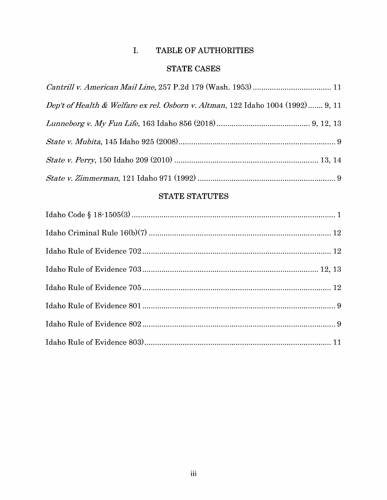## I. TABLE OF AUTHORITIES

## STATE CASES

| Dep't of Health & Welfare ex rel. Osborn v. Altman, 122 Idaho 1004 (1992) 9, 11 |  |
|---------------------------------------------------------------------------------|--|
|                                                                                 |  |
|                                                                                 |  |
|                                                                                 |  |
|                                                                                 |  |

## **STATE STATUTES**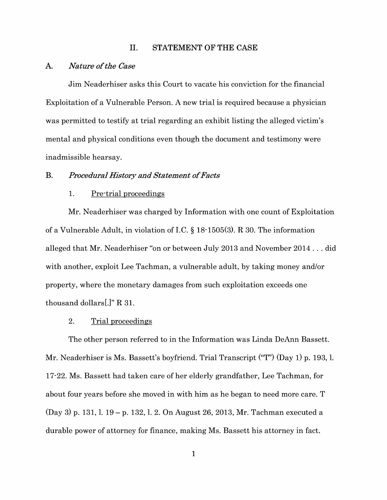#### II. STATEMENT OF THE CASE

#### A. *Nature of the Case*

Jim Neaderhiser asks this Court to vacate his conviction for the financial Exploitation of a Vulnerable Person. A new trial is required because a physician was permitted to testify at trial regarding an exhibit listing the alleged victim's mental and physical conditions even though the document and testimony were inadmissible hearsay.

## B. *Procedural History and Statement of Facts*

### 1. Pre-trial proceedings

Mr. Neaderhiser was charged by Information with one count of Exploitation of a Vulnerable Adult, in violation of LC. § 18-1505(3). **R** 30. The information alleged that Mr. Neaderhiser "on or between July 2013 and November 2014 ... did with another, exploit Lee Tachman, a vulnerable adult, by taking money and/or property, where the monetary damages from such exploitation exceeds one thousand dollars[.]" **R** 31.

### 2. Trial proceedings

The other person referred to in the Information was Linda DeAnn Bassett. Mr. Neaderhiser is Ms. Bassett's boyfriend. Trial Transcript ("T") (Day 1) p. 193, 1. 17-22. Ms. Bassett had taken care of her elderly grandfather, Lee Tachman, for about four years before she moved in with him as he began to need more care. T (Day 3) p. 131, 1. 19 - p. 132, 1. 2. On August 26, 2013, Mr. Tachman executed a durable power of attorney for finance, making Ms. Bassett his attorney in fact.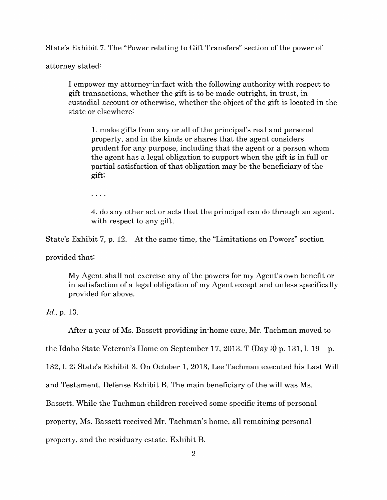State's Exhibit 7. The "Power relating to Gift Transfers" section of the power of

attorney stated:

I empower my attorney-in-fact with the following authority with respect to gift transactions, whether the gift is to be made outright, in trust, in custodial account or otherwise, whether the object of the gift is located in the state or elsewhere:

1. make gifts from any or all of the principal's real and personal property, and in the kinds or shares that the agent considers prudent for any purpose, including that the agent or a person whom the agent has a legal obligation to support when the gift is in full or partial satisfaction of that obligation may be the beneficiary of the gift;

 $\alpha$  ,  $\alpha$  ,  $\alpha$ 

4. do any other act or acts that the principal can do through an agent. with respect to any gift.

State's Exhibit 7, p. 12. At the same time, the "Limitations on Powers" section

provided that:

My Agent shall not exercise any of the powers for my Agent's own benefit or in satisfaction of a legal obligation of my Agent except and unless specifically provided for above.

*Id.,* p. 13.

After a year of Ms. Bassett providing in-home care, Mr. Tachman moved to

the Idaho State Veteran's Home on September 17, 2013. T (Day 3) p. 131, l.  $19 - p$ .

132, 1. 2; State's Exhibit 3. On October 1, 2013, Lee Tachman executed his Last Will

and Testament. Defense Exhibit B. The main beneficiary of the will was Ms.

Bassett. While the Tachman children received some specific items of personal

property, Ms. Bassett received Mr. Tachman's home, all remaining personal

property, and the residuary estate. Exhibit B.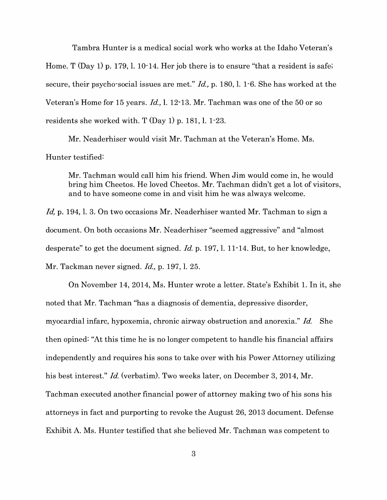Tambra Hunter is a medical social work who works at the Idaho Veteran's Home. T (Day 1) p. 179, l. 10-14. Her job there is to ensure "that a resident is safe; secure, their psycho-social issues are met." *Id.,* p. 180, 1. 1 -6. She has worked at the Veteran's Home for 15 years. *Id.,* I. 12-13. Mr. Tachman was one of the 50 or so residents she worked with. T (Day 1) p. 181, 1. 1-23.

Mr. Neaderhiser would visit Mr. Tachman at the Veteran's Home. Ms. Hunter testified:

Mr. Tachman would call him his friend. When Jim would come in, he would bring him Cheetos. He loved Cheetos. Mr. Tachman didn't get a lot of visitors, and to have someone come in and visit him he was always welcome.

Id, p. 194, l. 3. On two occasions Mr. Neaderhiser wanted Mr. Tachman to sign a document. On both occasions Mr. Neaderhiser "seemed aggressive" and "almost desperate" to get the document signed. *Id.* p. 197, 1. 11-14. But, to her knowledge, Mr. Tackman never signed. *Id.,* p. 197, 1. 25.

On November 14, 2014, Ms. Hunter wrote a letter. State's Exhibit 1. In it, she noted that Mr. Tachman "has a diagnosis of dementia, depressive disorder, myocardial infarc, hypoxemia, chronic airway obstruction and anorexia." *Id.* She then opined: "At this time he is no longer competent to handle his financial affairs independently and requires his sons to take over with his Power Attorney utilizing his best interest." *Id.* (verbatim). Two weeks later, on December 3, 2014, Mr. Tachman executed another financial power of attorney making two of his sons his attorneys in fact and purporting to revoke the August 26, 2013 document. Defense Exhibit A. Ms. Hunter testified that she believed Mr. Tachman was competent to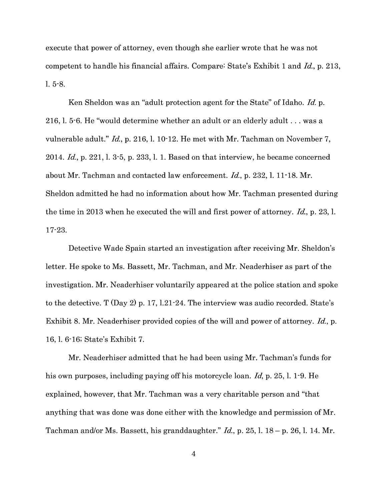execute that power of attorney, even though she earlier wrote that he was not competent to handle his financial affairs. Compare: State's Exhibit 1 and *Id.,* p. 213, 1. 5-8.

Ken Sheldon was an "adult protection agent for the State" of Idaho. *Id.* p. 216, 1. 5-6. He "would determine whether an adult or an elderly adult ... was a vulnerable adult." *Id.,* p. 216, 1. 10-12. He met with Mr. Tachman on November 7, 2014. *Id.,* p. 221, 1. 3-5, p. 233, 1. 1. Based on that interview, he became concerned about Mr. Tachman and contacted law enforcement. *Id.,* p. 232, 1. 11-18. Mr. Sheldon admitted he had no information about how Mr. Tachman presented during the time in 2013 when he executed the will and first power of attorney. *Id.,* p. 23, 1. 17-23.

Detective Wade Spain started an investigation after receiving Mr. Sheldon's letter. He spoke to Ms. Bassett, Mr. Tachman, and Mr. Neaderhiser as part of the investigation. Mr. Neaderhiser voluntarily appeared at the police station and spoke to the detective. T (Day 2) p. 17, 1.21-24. The interview was audio recorded. State's Exhibit 8. Mr. Neaderhiser provided copies of the will and power of attorney. *Id.,* p. 16, 1. 6-16; State's Exhibit 7.

Mr. Neaderhiser admitted that he had been using Mr. Tachman's funds for his own purposes, including paying off his motorcycle loan. *Id,* p. 25, 1. 1 -9. He explained, however, that Mr. Tachman was a very charitable person and "that anything that was done was done either with the knowledge and permission of Mr. Tachman and/or Ms. Bassett, his granddaughter." *Id.,* p. 25, 1. 18 - p. 26, 1. 14. Mr.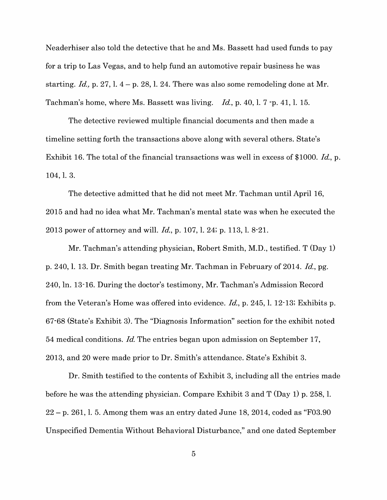Neaderhiser also told the detective that he and Ms. Bassett had used funds to pay for a trip to Las Vegas, and to help fund an automotive repair business he was starting.  $Id.$ , p. 27, l.  $4-p$ . 28, l. 24. There was also some remodeling done at Mr. Tachman's home, where Ms. Bassett was living. *Id,* p. 40, 1. 7 -p. 41, 1. 15.

The detective reviewed multiple financial documents and then made a timeline setting forth the transactions above along with several others. State's Exhibit 16. The total of the financial transactions was well in excess of \$1000. *Id,* p. 104, 1. 3.

The detective admitted that he did not meet Mr. Tachman until April 16, 2015 and had no idea what Mr. Tachman's mental state was when he executed the 2013 power of attorney and will. *Id,* p. 107, 1. 24; p. 113, 1. 8-21.

Mr. Tachman's attending physician, Robert Smith, M.D., testified. T (Day 1) p. 240, 1. 13. Dr. Smith began treating Mr. Tachman in February of 2014. *Id.,* pg. 240, In. 13-16. During the doctor's testimony, Mr. Tachman's Admission Record from the Veteran's Home was offered into evidence. *Id.,* p. 245, 1. 12-13; Exhibits p. 67-68 (State's Exhibit 3). The "Diagnosis Information" section for the exhibit noted 54 medical conditions. *Id.* The entries began upon admission on September 17, 2013, and 20 were made prior to Dr. Smith's attendance. State's Exhibit 3.

Dr. Smith testified to the contents of Exhibit 3, including all the entries made before he was the attending physician. Compare Exhibit 3 and T (Day 1) p. 258, 1.  $22 - p$ . 261, 1. 5. Among them was an entry dated June 18, 2014, coded as "F03.90" Unspecified Dementia Without Behavioral Disturbance," and one dated September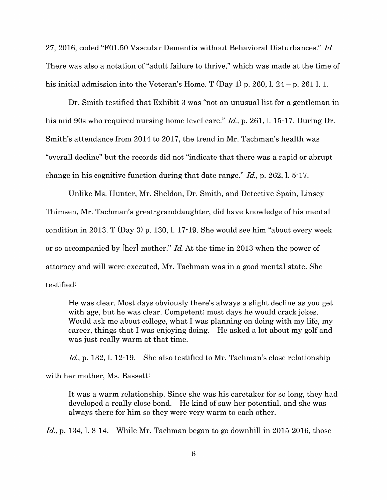27, 2016, coded "F0l.50 Vascular Dementia without Behavioral Disturbances." *Id*  There was also a notation of "adult failure to thrive," which was made at the time of his initial admission into the Veteran's Home. T  $(Day 1)$  p. 260, l. 24 – p. 261 l. 1.

Dr. Smith testified that Exhibit 3 was "not an unusual list for a gentleman in his mid 90s who required nursing home level care." *Id.,* p. 261, 1. 15-17. During Dr. Smith's attendance from 2014 to 2017, the trend in Mr. Tachman's health was "overall decline" but the records did not "indicate that there was a rapid or abrupt change in his cognitive function during that date range." *Id.,* p. 262, 1. 5-17.

Unlike Ms. Hunter, Mr. Sheldon, Dr. Smith, and Detective Spain, Linsey Thimsen, Mr. Tachman's great-granddaughter, did have knowledge of his mental condition in 2013. T (Day 3) p. 130, 1. 17-19. She would see him "about every week or so accompanied by [her] mother." *Id.* At the time in 2013 when the power of attorney and will were executed, Mr. Tachman was in a good mental state. She testified:

He was clear. Most days obviously there's always a slight decline as you get with age, but he was clear. Competent; most days he would crack jokes. Would ask me about college, what I was planning on doing with my life, my career, things that I was enjoying doing. He asked a lot about my golf and was just really warm at that time.

*Id.,* p. 132, 1. 12-19. She also testified to Mr. Tachman's close relationship

with her mother, Ms. Bassett:

It was a warm relationship. Since she was his caretaker for so long, they had developed a really close bond. He kind of saw her potential, and she was always there for him so they were very warm to each other.

*Id.,* p. 134, 1. 8-14. While Mr. Tachman began to go downhill in 2015-2016, those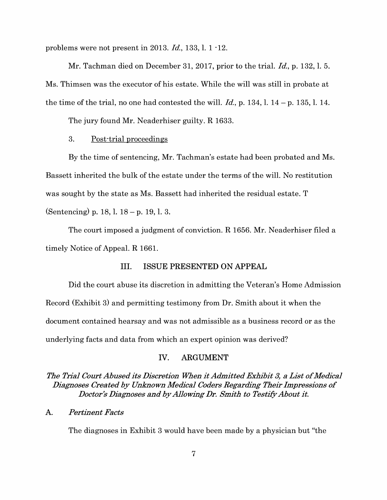problems were not present in 2013. *Id.,* 133, 1. 1 -12.

Mr. Tachman died on December 31, 2017, prior to the trial. *Id.,* p. 132, 1. 5. Ms. Thimsen was the executor of his estate. While the will was still in probate at the time of the trial, no one had contested the will. *Id.,* p. 134, 1. 14 - p. 135, 1. 14.

The jury found Mr. Neaderhiser guilty. R 1633.

#### 3. Post-trial proceedings

By the time of sentencing, Mr. Tachman's estate had been probated and Ms. Bassett inherited the bulk of the estate under the terms of the will. No restitution was sought by the state as Ms. Bassett had inherited the residual estate. T (Sentencing) p. 18, 1. 18 - p. 19, 1. 3.

The court imposed a judgment of conviction. **R** 1656. Mr. Neaderhiser filed a timely Notice of Appeal. R 1661.

### III. ISSUE PRESENTED ON APPEAL

Did the court abuse its discretion in admitting the Veteran's Home Admission Record (Exhibit 3) and permitting testimony from Dr. Smith about it when the document contained hearsay and was not admissible as a business record or as the underlying facts and data from which an expert opinion was derived?

#### **IV. ARGUMENT**

## *The Trial Court Abused its Discretion When it Admitted Exhibit 3, a List of Medical Diagnoses Created by Unknown Medical Coders Regarding Their Impressions of Doctor's Diagnoses and by Allowing Dr. Smith to Testify About it.*

#### A. *Pertinent Facts*

The diagnoses in Exhibit 3 would have been made by a physician but "the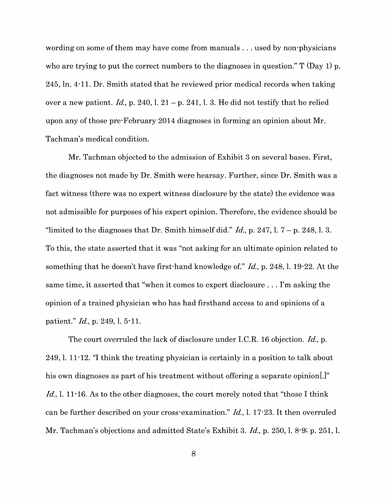wording on some of them may have come from manuals ... used by non-physicians who are trying to put the correct numbers to the diagnoses in question." T (Day 1) p. 245, In. 4-11. Dr. Smith stated that he reviewed prior medical records when taking over a new patient.  $Id$ , p. 240, l. 21 – p. 241, l. 3. He did not testify that he relied upon any of those pre-February 2014 diagnoses in forming an opinion about Mr. Tachman's medical condition.

Mr. Tachman objected to the admission of Exhibit 3 on several bases. First, the diagnoses not made by Dr. Smith were hearsay. Further, since Dr. Smith was a fact witness (there was no expert witness disclosure by the state) the evidence was not admissible for purposes of his expert opinion. Therefore, the evidence should be "limited to the diagnoses that Dr. Smith himself did."  $Id$ , p. 247, l.  $7 - p$ . 248, l. 3. To this, the state asserted that it was "not asking for an ultimate opinion related to something that he doesn't have first-hand knowledge of." *Id.,* p. 248, 1. 19-22. At the same time, it asserted that "when it comes to expert disclosure ... I'm asking the opinion of a trained physician who has had firsthand access to and opinions of a patient." *Id.,* p. 249, 1. 5-11.

The court overruled the lack of disclosure under I.C.R. 16 objection. *Id.,* p. 249, 1. 11-12. "I think the treating physician is certainly in a position to talk about his own diagnoses as part of his treatment without offering a separate opinion.]" Id., 1. 11<sup>-16</sup>. As to the other diagnoses, the court merely noted that "those I think" can be further described on your cross-examination." *Id.,* I. 17-23. It then overruled Mr. Tachman's objections and admitted State's Exhibit 3. *Id.,* p. 250, 1. 8-9; p. 251, 1.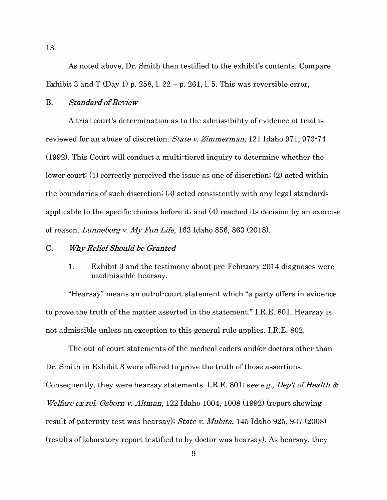As noted above, Dr. Smith then testified to the exhibit's contents. Compare Exhibit 3 and T (Day 1) p. 258, l.  $22 - p$ . 261, l. 5. This was reversible error,

#### B. *Standard of Review*

A trial court's determination as to the admissibility of evidence at trial is reviewed for an abuse of discretion. *State v. Zimmerman,* 121 Idaho 971, 973-74 (1992). This Court will conduct a multi-tiered inquiry to determine whether the lower court: (1) correctly perceived the issue as one of discretion; (2) acted within the boundaries of such discretion; (3) acted consistently with any legal standards applicable to the specific choices before it; and (4) reached its decision by an exercise of reason. *Lunneborg v. My Fun Life,* 163 Idaho 856, 863 (2018).

### C. *lf7iy Relief Should be Granted*

## 1. Exhibit 3 and the testimony about pre-February 2014 diagnoses were inadmissible hearsay.

"Hearsay" means an out-of-court statement which "a party offers in evidence to prove the truth of the matter asserted in the statement." I.R.E. 801. Hearsay is not admissible unless an exception to this general rule applies. I.R.E. 802.

The out-of-court statements of the medical coders and/or doctors other than Dr. Smith in Exhibit 3 were offered to prove the truth of those assertions. Consequently, they were hearsay statements. I.R.E. 801; *see e.g., Dep't of Health* & *Welfare ex rel. Osborn v. Altman,* 122 Idaho 1004, 1008 (1992) (report showing result of paternity test was hearsay); *State v. Mubita,* 145 Idaho 925, 937 (2008) (results of laboratory report testified to by doctor was hearsay). As hearsay, they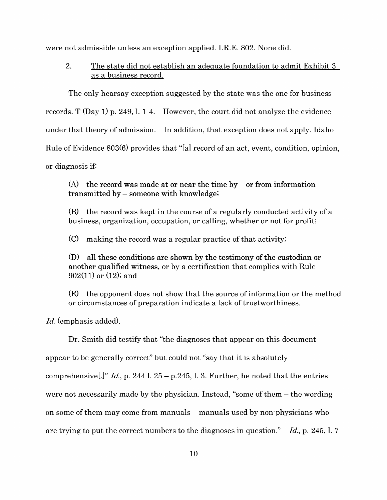were not admissible unless an exception applied. I.R.E. 802. None did.

2. The state did not establish an adequate foundation to admit Exhibit 3 as a business record.

The only hearsay exception suggested by the state was the one for business records. T (Day 1) p. 249, 1. 1-4. However, the court did not analyze the evidence under that theory of admission. In addition, that exception does not apply. Idaho Rule of Evidence 803(6) provides that "[a] record of an act, event, condition, opinion, or diagnosis if:

(A) the record was made at or near the time by  $-$  or from information transmitted by – someone with knowledge;

(B) the record was kept in the course of a regularly conducted activity of a business, organization, occupation, or calling, whether or not for profit;

(C) making the record was a regular practice of that activity;

(D) all these conditions are shown by the testimony of the custodian or another qualified witness, or by a certification that complies with Rule 902(11) or (12); and

(E) the opponent does not show that the source of information or the method or circumstances of preparation indicate a lack of trustworthiness.

*Id.* (emphasis added).

Dr. Smith did testify that "the diagnoses that appear on this document

appear to be generally correct" but could not "say that it is absolutely

comprehensive<sup>[1]</sup> *Id.*, p. 244 l. 25 – p. 245, l. 3. Further, he noted that the entries

were not necessarily made by the physician. Instead, "some of them – the wording

on some of them may come from manuals – manuals used by non-physicians who

are trying to put the correct numbers to the diagnoses in question." *Id.,* p. 245, 1. 7-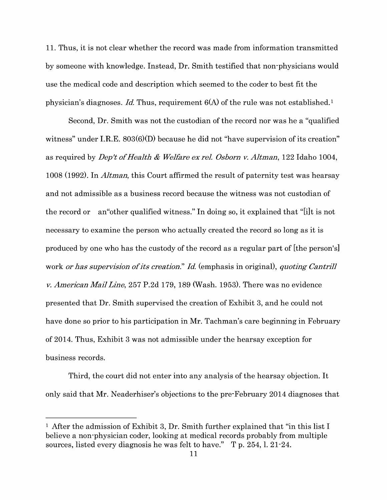11. Thus, it is not clear whether the record was made from information transmitted by someone with knowledge. Instead, Dr. Smith testified that non-physicians would use the medical code and description which seemed to the coder to best fit the physician's diagnoses. *Id.* Thus, requirement 6(A) of the rule was not established. <sup>1</sup>

Second, Dr. Smith was not the custodian of the record nor was he a "qualified witness" under I.R.E. 803(6)(D) because he did not "have supervision of its creation" as required by *Dep't of Health* & *Welfare ex rel. Osborn v. Altman,* 122 Idaho 1004, 1008 (1992). In *Altman,* this Court affirmed the result of paternity test was hearsay and not admissible as a business record because the witness was not custodian of the record or an"other qualified witness." In doing so, it explained that "[i]t is not necessary to examine the person who actually created the record so long as it is produced by one who has the custody of the record as a regular part of [the person's] work *or has supervision of its creation.*" Id. (emphasis in original), *quoting Cantrill v. American Mail Line,* 257 P.2d 179, 189 (Wash. 1953). There was no evidence presented that Dr. Smith supervised the creation of Exhibit 3, and he could not have done so prior to his participation in Mr. Tachman's care beginning in February of 2014. Thus, Exhibit 3 was not admissible under the hearsay exception for business records.

Third, the court did not enter into any analysis of the hearsay objection. It only said that Mr. Neaderhiser's objections to the pre-February 2014 diagnoses that

<sup>&</sup>lt;sup>1</sup> After the admission of Exhibit 3, Dr. Smith further explained that "in this list I believe a non-physician coder, looking at medical records probably from multiple sources, listed every diagnosis he was felt to have." T p. 254, 1. 21-24.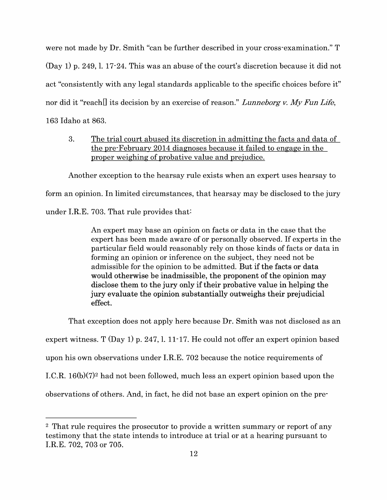were not made by Dr. Smith "can be further described in your cross-examination." T (Day 1) p. 249, 1. 17-24. This was an abuse of the court's discretion because it did not act "consistently with any legal standards applicable to the specific choices before it" nor did it "reach[] its decision by an exercise of reason." *Lunneborg v. My Fun Life,*  163 Idaho at 863.

3. The trial court abused its discretion in admitting the facts and data of the pre-February 2014 diagnoses because it failed to engage in the proper weighing of probative value and prejudice.

Another exception to the hearsay rule exists when an expert uses hearsay to form an opinion. In limited circumstances, that hearsay may be disclosed to the jury under I.R.E. 703. That rule provides that:

> An expert may base an opinion on facts or data in the case that the expert has been made aware of or personally observed. If experts in the particular field would reasonably rely on those kinds of facts or data in forming an opinion or inference on the subject, they need not be admissible for the opinion to be admitted. But if the facts or data would otherwise be inadmissible, the proponent of the opinion may disclose them to the jury only if their probative value in helping the jury evaluate the opinion substantially outweighs their prejudicial effect.

That exception does not apply here because Dr. Smith was not disclosed as an expert witness.  $T$  (Day 1) p. 247, 1. 11-17. He could not offer an expert opinion based upon his own observations under I.R.E. 702 because the notice requirements of I.C.R.  $16(b)(7)^2$  had not been followed, much less an expert opinion based upon the observations of others. And, in fact, he did not base an expert opinion on the pre-

<sup>&</sup>lt;sup>2</sup> That rule requires the prosecutor to provide a written summary or report of any testimony that the state intends to introduce at trial or at a hearing pursuant to I.R.E. 702, 703 or 705.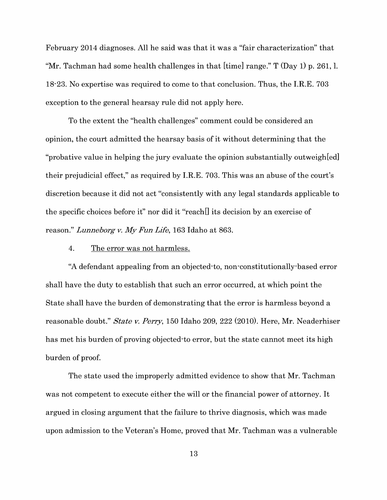February 2014 diagnoses. All he said was that it was a "fair characterization" that "Mr. Tachman had some health challenges in that [time] range." T (Day 1) p. 261, 1. 18-23. No expertise was required to come to that conclusion. Thus, the I.R.E. 703 exception to the general hearsay rule did not apply here.

To the extent the "health challenges" comment could be considered an opinion, the court admitted the hearsay basis of it without determining that the "probative value in helping the jury evaluate the opinion substantially outweigh[ed] their prejudicial effect," as required by I.R.E. 703. This was an abuse of the court's discretion because it did not act "consistently with any legal standards applicable to the specific choices before it" nor did it "reach[] its decision by an exercise of reason." *Lunneborg v. My Fun Life,* 163 Idaho at 863.

#### 4. The error was not harmless.

"A defendant appealing from an objected-to, non-constitutionally-based error shall have the duty to establish that such an error occurred, at which point the State shall have the burden of demonstrating that the error is harmless beyond a reasonable doubt." *State v. Perry,* 150 Idaho 209, 222 (2010). Here, Mr. Neaderhiser has met his burden of proving objected-to error, but the state cannot meet its high burden of proof.

The state used the improperly admitted evidence to show that Mr. Tachman was not competent to execute either the will or the financial power of attorney. It argued in closing argument that the failure to thrive diagnosis, which was made upon admission to the Veteran's Home, proved that Mr. Tachman was a vulnerable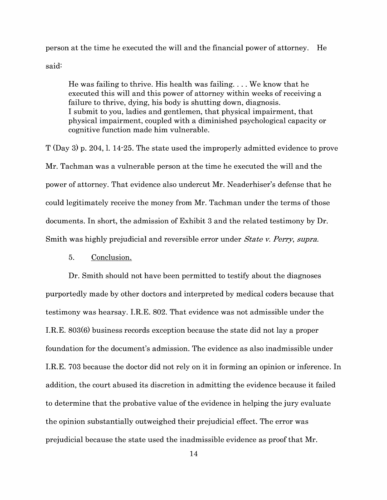person at the time he executed the will and the financial power of attorney. He said:

He was failing to thrive. His health was failing... We know that he executed this will and this power of attorney within weeks of receiving a failure to thrive, dying, his body is shutting down, diagnosis. I submit to you, ladies and gentlemen, that physical impairment, that physical impairment, coupled with a diminished psychological capacity or cognitive function made him vulnerable.

T (Day 3) p. 204, 1. 14-25. The state used the improperly admitted evidence to prove Mr. Tachman was a vulnerable person at the time he executed the will and the power of attorney. That evidence also undercut Mr. Neaderhiser's defense that he could legitimately receive the money from Mr. Tachman under the terms of those documents. In short, the admission of Exhibit 3 and the related testimony by Dr. Smith was highly prejudicial and reversible error under *State v. Perry, supra.* 

## 5. Conclusion.

Dr. Smith should not have been permitted to testify about the diagnoses purportedly made by other doctors and interpreted by medical coders because that testimony was hearsay. I.R.E. 802. That evidence was not admissible under the I.R.E. 803(6) business records exception because the state did not lay a proper foundation for the document's admission. The evidence as also inadmissible under I.R.E. 703 because the doctor did not rely on it in forming an opinion or inference. In addition, the court abused its discretion in admitting the evidence because it failed to determine that the probative value of the evidence in helping the jury evaluate the opinion substantially outweighed their prejudicial effect. The error was prejudicial because the state used the inadmissible evidence as proof that Mr.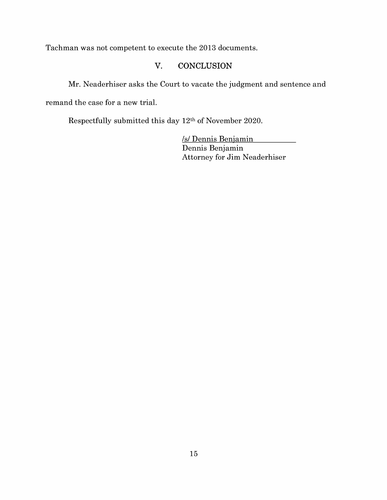Tachman was not competent to execute the 2013 documents.

## **V. CONCLUSION**

Mr. Neaderhiser asks the Court to vacate the judgment and sentence and remand the case for a new trial.

Respectfully submitted this day 12th of November 2020.

/s/ Dennis Benjamin Dennis Benjamin Attorney for Jim Neaderhiser